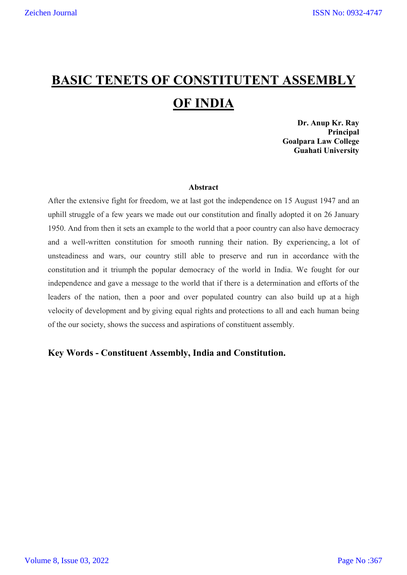# **BASIC TENETS OF CONSTITUTENT ASSEMBLY OF INDIA**

**Dr. Anup Kr. Ray Principal Goalpara Law College Guahati University** 

#### **Abstract**

After the extensive fight for freedom, we at last got the independence on 15 August 1947 and an uphill struggle of a few years we made out our constitution and finally adopted it on 26 January 1950. And from then it sets an example to the world that a poor country can also have democracy and a well-written constitution for smooth running their nation. By experiencing, a lot of unsteadiness and wars, our country still able to preserve and run in accordance with the constitution and it triumph the popular democracy of the world in India. We fought for our independence and gave a message to the world that if there is a determination and efforts of the leaders of the nation, then a poor and over populated country can also build up at a high velocity of development and by giving equal rights and protections to all and each human being of the our society, shows the success and aspirations of constituent assembly.

# **Key Words - Constituent Assembly, India and Constitution.**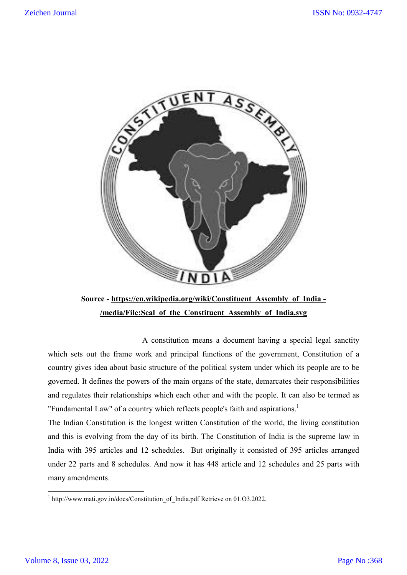

**Source - https://en.wikipedia.org/wiki/Constituent\_Assembly\_of\_India - /media/File:Seal\_of\_the\_Constituent\_Assembly\_of\_India.svg**

A constitution means a document having a special legal sanctity which sets out the frame work and principal functions of the government, Constitution of a country gives idea about basic structure of the political system under which its people are to be governed. It defines the powers of the main organs of the state, demarcates their responsibilities and regulates their relationships which each other and with the people. It can also be termed as "Fundamental Law" of a country which reflects people's faith and aspirations.<sup>1</sup>

The Indian Constitution is the longest written Constitution of the world, the living constitution and this is evolving from the day of its birth. The Constitution of India is the supreme law in India with 395 articles and 12 schedules. But originally it consisted of 395 articles arranged under 22 parts and 8 schedules. And now it has 448 article and 12 schedules and 25 parts with many amendments.

<sup>&</sup>lt;sup>1</sup> http://www.mati.gov.in/docs/Constitution of India.pdf Retrieve on 01.O3.2022.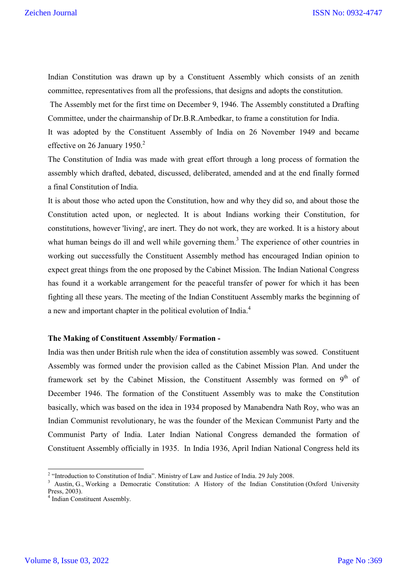Indian Constitution was drawn up by a Constituent Assembly which consists of an zenith committee, representatives from all the professions, that designs and adopts the constitution.

The Assembly met for the first time on December 9, 1946. The Assembly constituted a Drafting Committee, under the chairmanship of Dr.B.R.Ambedkar, to frame a constitution for India.

It was adopted by the Constituent Assembly of India on 26 November 1949 and became effective on 26 January 1950.<sup>2</sup>

The Constitution of India was made with great effort through a long process of formation the assembly which drafted, debated, discussed, deliberated, amended and at the end finally formed a final Constitution of India.

It is about those who acted upon the Constitution, how and why they did so, and about those the Constitution acted upon, or neglected. It is about Indians working their Constitution, for constitutions, however 'living', are inert. They do not work, they are worked. It is a history about what human beings do ill and well while governing them.<sup>3</sup> The experience of other countries in working out successfully the Constituent Assembly method has encouraged Indian opinion to expect great things from the one proposed by the Cabinet Mission. The Indian National Congress has found it a workable arrangement for the peaceful transfer of power for which it has been fighting all these years. The meeting of the Indian Constituent Assembly marks the beginning of a new and important chapter in the political evolution of India.<sup>4</sup>

# **The Making of Constituent Assembly/ Formation -**

India was then under British rule when the idea of constitution assembly was sowed. Constituent Assembly was formed under the provision called as the Cabinet Mission Plan. And under the framework set by the Cabinet Mission, the Constituent Assembly was formed on  $9<sup>th</sup>$  of December 1946. The formation of the Constituent Assembly was to make the Constitution basically, which was based on the idea in 1934 proposed by Manabendra Nath Roy, who was an Indian Communist revolutionary, he was the founder of the Mexican Communist Party and the Communist Party of India. Later Indian National Congress demanded the formation of Constituent Assembly officially in 1935. In India 1936, April Indian National Congress held its

<sup>&</sup>lt;sup>2</sup> "Introduction to Constitution of India". Ministry of Law and Justice of India. 29 July 2008.<br><sup>3</sup> Austin, G., Working a Democratic Constitution: A History of the Indian Constitution (Oxford University Press. 2003).

 $<sup>4</sup>$  Indian Constituent Assembly.</sup>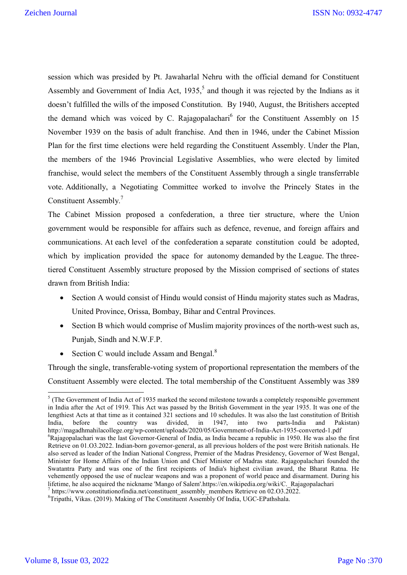session which was presided by Pt. Jawaharlal Nehru with the official demand for Constituent Assembly and Government of India Act,  $1935<sup>5</sup>$  and though it was rejected by the Indians as it doesn't fulfilled the wills of the imposed Constitution. By 1940, August, the Britishers accepted the demand which was voiced by C. Rajagopalachari<sup>6</sup> for the Constituent Assembly on 15 November 1939 on the basis of adult franchise. And then in 1946, under the Cabinet Mission Plan for the first time elections were held regarding the Constituent Assembly. Under the Plan, the members of the 1946 Provincial Legislative Assemblies, who were elected by limited franchise, would select the members of the Constituent Assembly through a single transferrable vote. Additionally, a Negotiating Committee worked to involve the Princely States in the Constituent Assembly.<sup>7</sup>

The Cabinet Mission proposed a confederation, a three tier structure, where the Union government would be responsible for affairs such as defence, revenue, and foreign affairs and communications. At each level of the confederation a separate constitution could be adopted, which by implication provided the space for autonomy demanded by the League. The threetiered Constituent Assembly structure proposed by the Mission comprised of sections of states drawn from British India:

- Section A would consist of Hindu would consist of Hindu majority states such as Madras, United Province, Orissa, Bombay, Bihar and Central Provinces.
- Section B which would comprise of Muslim majority provinces of the north-west such as, Punjab, Sindh and N.W.F.P.
- Section C would include Assam and Bengal. $8$

Through the single, transferable-voting system of proportional representation the members of the Constituent Assembly were elected. The total membership of the Constituent Assembly was 389

 $<sup>5</sup>$  (The Government of India Act of 1935 marked the second milestone towards a completely responsible government</sup> in India after the Act of 1919. This Act was passed by the British Government in the year 1935. It was one of the lengthiest Acts at that time as it contained 321 sections and 10 schedules. It was also the last constitution of British India, before the country was divided, in 1947, into two parts-India and Pakistan) India, before the country was divided, in  $1947$ , http://magadhmahilacollege.org/wp-content/uploads/2020/05/Government-of-India-Act-1935-converted-1.pdf <sup>6</sup> <sup>6</sup>Rajagopalachari was the last Governor-General of India, as India became a republic in 1950. He was also the first Retrieve on 01.O3.2022. Indian-born governor-general, as all previous holders of the post were British nationals. He also served as leader of the Indian National Congress, Premier of the Madras Presidency, Governor of West Bengal, Minister for Home Affairs of the Indian Union and Chief Minister of Madras state. Rajagopalachari founded the Swatantra Party and was one of the first recipients of India's highest civilian award, the Bharat Ratna. He vehemently opposed the use of nuclear weapons and was a proponent of world peace and disarmament. During his lifetime, he also acquired the nickname 'Mango of Salem'.https://en.wikipedia.org/wiki/C. Rajagopalachari  $\frac{1}{\pi}$ https://www.constitutionofindia.net/constituent\_assembly\_members Retrieve on 02.O3.2022.

 $\overline{S}$ Tripathi, Vikas. (2019). Making of The Constituent Assembly Of India, UGC-EPathshala.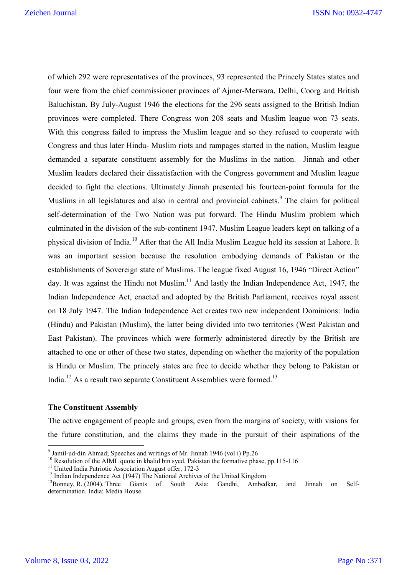of which 292 were representatives of the provinces, 93 represented the Princely States states and four were from the chief commissioner provinces of Ajmer-Merwara, Delhi, Coorg and British Baluchistan. By July-August 1946 the elections for the 296 seats assigned to the British Indian provinces were completed. There Congress won 208 seats and Muslim league won 73 seats. With this congress failed to impress the Muslim league and so they refused to cooperate with Congress and thus later Hindu- Muslim riots and rampages started in the nation, Muslim league demanded a separate constituent assembly for the Muslims in the nation. Jinnah and other Muslim leaders declared their dissatisfaction with the Congress government and Muslim league decided to fight the elections. Ultimately Jinnah presented his fourteen-point formula for the Muslims in all legislatures and also in central and provincial cabinets.<sup>9</sup> The claim for political self-determination of the Two Nation was put forward. The Hindu Muslim problem which culminated in the division of the sub-continent 1947. Muslim League leaders kept on talking of a physical division of India.10 After that the All India Muslim League held its session at Lahore. It was an important session because the resolution embodying demands of Pakistan or the establishments of Sovereign state of Muslims. The league fixed August 16, 1946 "Direct Action" day. It was against the Hindu not Muslim. $^{11}$  And lastly the Indian Independence Act, 1947, the Indian Independence Act, enacted and adopted by the British Parliament, receives royal assent on 18 July 1947. The Indian Independence Act creates two new independent Dominions: India (Hindu) and Pakistan (Muslim), the latter being divided into two territories (West Pakistan and East Pakistan). The provinces which were formerly administered directly by the British are attached to one or other of these two states, depending on whether the majority of the population is Hindu or Muslim. The princely states are free to decide whether they belong to Pakistan or India.<sup>12</sup> As a result two separate Constituent Assemblies were formed.<sup>13</sup>

# **The Constituent Assembly**

The active engagement of people and groups, even from the margins of society, with visions for the future constitution, and the claims they made in the pursuit of their aspirations of the

<sup>&</sup>lt;sup>9</sup> Jamil-ud-din Ahmad; Speeches and writings of Mr. Jinnah 1946 (vol i) Pp.26<br><sup>10</sup> Resolution of the AIML quote in khalid bin syed, Pakistan the formative phase, pp.115-116<br><sup>11</sup> United India Patriotic Association August determination. India: Media House.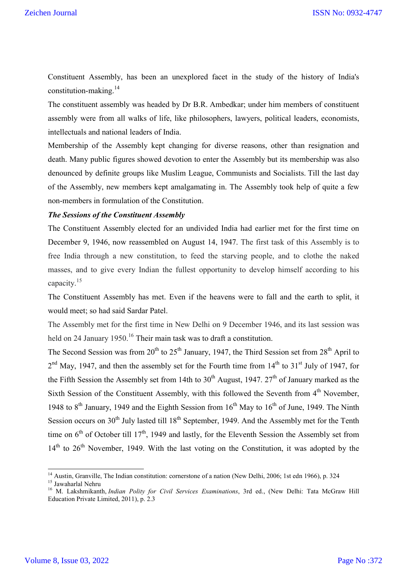Constituent Assembly, has been an unexplored facet in the study of the history of India's constitution-making.<sup>14</sup>

The constituent assembly was headed by Dr B.R. Ambedkar; under him members of constituent assembly were from all walks of life, like philosophers, lawyers, political leaders, economists, intellectuals and national leaders of India.

Membership of the Assembly kept changing for diverse reasons, other than resignation and death. Many public figures showed devotion to enter the Assembly but its membership was also denounced by definite groups like Muslim League, Communists and Socialists. Till the last day of the Assembly, new members kept amalgamating in. The Assembly took help of quite a few non-members in formulation of the Constitution.

# *The Sessions of the Constituent Assembly*

The Constituent Assembly elected for an undivided India had earlier met for the first time on December 9, 1946, now reassembled on August 14, 1947. The first task of this Assembly is to free India through a new constitution, to feed the starving people, and to clothe the naked masses, and to give every Indian the fullest opportunity to develop himself according to his capacity.<sup>15</sup>

The Constituent Assembly has met. Even if the heavens were to fall and the earth to split, it would meet; so had said Sardar Patel.

The Assembly met for the first time in New Delhi on 9 December 1946, and its last session was held on 24 January 1950.<sup>16</sup> Their main task was to draft a constitution.

The Second Session was from  $20^{th}$  to  $25^{th}$  January, 1947, the Third Session set from  $28^{th}$  April to  $2<sup>nd</sup>$  May, 1947, and then the assembly set for the Fourth time from  $14<sup>th</sup>$  to  $31<sup>st</sup>$  July of 1947, for the Fifth Session the Assembly set from 14th to  $30<sup>th</sup>$  August, 1947.  $27<sup>th</sup>$  of January marked as the Sixth Session of the Constituent Assembly, with this followed the Seventh from 4<sup>th</sup> November, 1948 to  $8<sup>th</sup>$  January, 1949 and the Eighth Session from  $16<sup>th</sup>$  May to  $16<sup>th</sup>$  of June, 1949. The Ninth Session occurs on  $30<sup>th</sup>$  July lasted till  $18<sup>th</sup>$  September, 1949. And the Assembly met for the Tenth time on  $6<sup>th</sup>$  of October till 17<sup>th</sup>, 1949 and lastly, for the Eleventh Session the Assembly set from  $14<sup>th</sup>$  to  $26<sup>th</sup>$  November, 1949. With the last voting on the Constitution, it was adopted by the

<sup>&</sup>lt;sup>14</sup> Austin, Granville, The Indian constitution: cornerstone of a nation (New Delhi, 2006; 1st edn 1966), p. 324<br><sup>15</sup> Jawaharlal Nehru<br><sup>16</sup> M. Lakshmikanth, *Indian Polity for Civil Services Examinations*, 3rd ed., (New D Education Private Limited, 2011), p. 2.3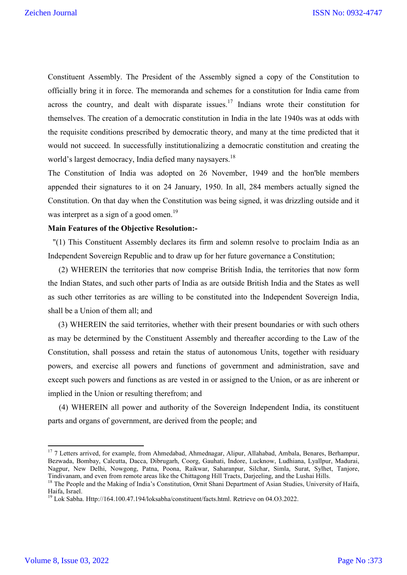Constituent Assembly. The President of the Assembly signed a copy of the Constitution to officially bring it in force. The memoranda and schemes for a constitution for India came from across the country, and dealt with disparate issues.<sup>17</sup> Indians wrote their constitution for themselves. The creation of a democratic constitution in India in the late 1940s was at odds with the requisite conditions prescribed by democratic theory, and many at the time predicted that it would not succeed. In successfully institutionalizing a democratic constitution and creating the world's largest democracy, India defied many naysayers.<sup>18</sup>

The Constitution of India was adopted on 26 November, 1949 and the hon'ble members appended their signatures to it on 24 January, 1950. In all, 284 members actually signed the Constitution. On that day when the Constitution was being signed, it was drizzling outside and it was interpret as a sign of a good omen.<sup>19</sup>

# **Main Features of the Objective Resolution:-**

"(1) This Constituent Assembly declares its firm and solemn resolve to proclaim India as an Independent Sovereign Republic and to draw up for her future governance a Constitution;

 (2) WHEREIN the territories that now comprise British India, the territories that now form the Indian States, and such other parts of India as are outside British India and the States as well as such other territories as are willing to be constituted into the Independent Sovereign India, shall be a Union of them all; and

 (3) WHEREIN the said territories, whether with their present boundaries or with such others as may be determined by the Constituent Assembly and thereafter according to the Law of the Constitution, shall possess and retain the status of autonomous Units, together with residuary powers, and exercise all powers and functions of government and administration, save and except such powers and functions as are vested in or assigned to the Union, or as are inherent or implied in the Union or resulting therefrom; and

 (4) WHEREIN all power and authority of the Sovereign Independent India, its constituent parts and organs of government, are derived from the people; and

<sup>&</sup>lt;sup>17</sup> 7 Letters arrived, for example, from Ahmedabad, Ahmednagar, Alipur, Allahabad, Ambala, Benares, Berhampur, Bezwada, Bombay, Calcutta, Dacca, Dibrugarh, Coorg, Gauhati, Indore, Lucknow, Ludhiana, Lyallpur, Madurai, Nagpur, New Delhi, Nowgong, Patna, Poona, Raikwar, Saharanpur, Silchar, Simla, Surat, Sylhet, Tanjore, Tindivanam, and even from remote areas like the Chittagong Hill Tracts, Darjeeling, and the Lushai Hills.

<sup>&</sup>lt;sup>18</sup> The People and the Making of India's Constitution, Ornit Shani Department of Asian Studies, University of Haifa, Haifa, Israel.

<sup>&</sup>lt;sup>19</sup> Lok Sabha. Http://164.100.47.194/loksabha/constituent/facts.html. Retrieve on 04.03.2022.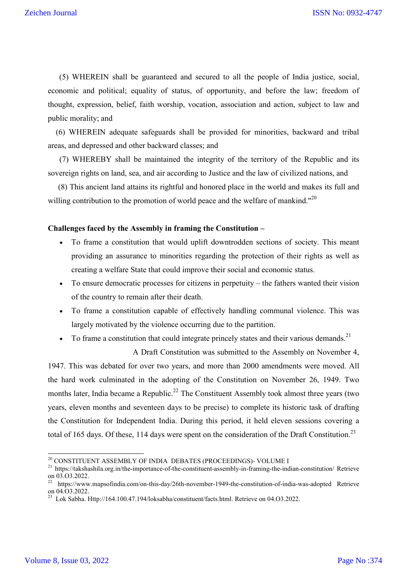(5) WHEREIN shall be guaranteed and secured to all the people of India justice, social, economic and political; equality of status, of opportunity, and before the law; freedom of thought, expression, belief, faith worship, vocation, association and action, subject to law and public morality; and

 (6) WHEREIN adequate safeguards shall be provided for minorities, backward and tribal areas, and depressed and other backward classes; and

 (7) WHEREBY shall be maintained the integrity of the territory of the Republic and its sovereign rights on land, sea, and air according to Justice and the law of civilized nations, and

 (8) This ancient land attains its rightful and honored place in the world and makes its full and willing contribution to the promotion of world peace and the welfare of mankind."<sup>20</sup>

## **Challenges faced by the Assembly in framing the Constitution –**

- To frame a constitution that would uplift downtrodden sections of society. This meant providing an assurance to minorities regarding the protection of their rights as well as creating a welfare State that could improve their social and economic status.
- To ensure democratic processes for citizens in perpetuity the fathers wanted their vision of the country to remain after their death.
- To frame a constitution capable of effectively handling communal violence. This was largely motivated by the violence occurring due to the partition.
- To frame a constitution that could integrate princely states and their various demands.<sup>21</sup>

A Draft Constitution was submitted to the Assembly on November 4, 1947. This was debated for over two years, and more than 2000 amendments were moved. All the hard work culminated in the adopting of the Constitution on November 26, 1949. Two months later, India became a Republic.<sup>22</sup> The Constituent Assembly took almost three years (two years, eleven months and seventeen days to be precise) to complete its historic task of drafting the Constitution for Independent India. During this period, it held eleven sessions covering a total of 165 days. Of these, 114 days were spent on the consideration of the Draft Constitution.<sup>23</sup>

<sup>&</sup>lt;sup>20</sup> CONSTITUENT ASSEMBLY OF INDIA DEBATES (PROCEEDINGS)- VOLUME I<br><sup>21</sup> https://takshashila.org.in/the-importance-of-the-constituent-assembly-in-framing-the-indian-constitution/ Retrieve on 03.03.2022.

<sup>22</sup> https://www.mapsofindia.com/on-this-day/26th-november-1949-the-constitution-of-india-was-adopted Retrieve on 04.O3.2022.

<sup>&</sup>lt;sup>23</sup> Lok Sabha. Http://164.100.47.194/loksabha/constituent/facts.html. Retrieve on 04.03.2022.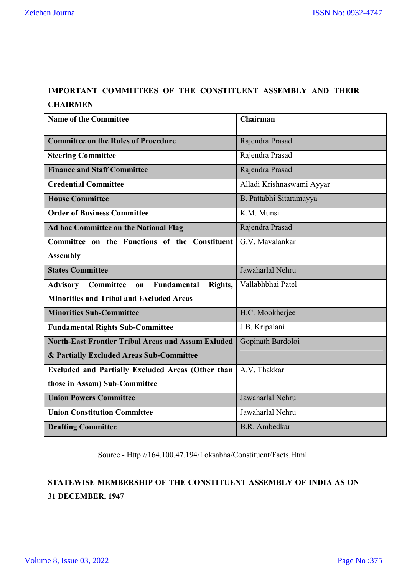# **IMPORTANT COMMITTEES OF THE CONSTITUENT ASSEMBLY AND THEIR CHAIRMEN**

| <b>Name of the Committee</b>                                 | Chairman                  |
|--------------------------------------------------------------|---------------------------|
| <b>Committee on the Rules of Procedure</b>                   | Rajendra Prasad           |
| <b>Steering Committee</b>                                    | Rajendra Prasad           |
| <b>Finance and Staff Committee</b>                           | Rajendra Prasad           |
| <b>Credential Committee</b>                                  | Alladi Krishnaswami Ayyar |
| <b>House Committee</b>                                       | B. Pattabhi Sitaramayya   |
| <b>Order of Business Committee</b>                           | K.M. Munsi                |
| Ad hoc Committee on the National Flag                        | Rajendra Prasad           |
| Committee on the Functions of the Constituent                | G.V. Mavalankar           |
| <b>Assembly</b>                                              |                           |
| <b>States Committee</b>                                      | Jawaharlal Nehru          |
| Committee<br><b>Advisory</b><br>Fundamental<br>Rights,<br>on | Vallabhbhai Patel         |
| <b>Minorities and Tribal and Excluded Areas</b>              |                           |
| <b>Minorities Sub-Committee</b>                              | H.C. Mookherjee           |
| <b>Fundamental Rights Sub-Committee</b>                      | J.B. Kripalani            |
| <b>North-East Frontier Tribal Areas and Assam Exluded</b>    | Gopinath Bardoloi         |
| & Partially Excluded Areas Sub-Committee                     |                           |
| <b>Excluded and Partially Excluded Areas (Other than</b>     | A.V. Thakkar              |
| those in Assam) Sub-Committee                                |                           |
| <b>Union Powers Committee</b>                                | Jawaharlal Nehru          |
| <b>Union Constitution Committee</b>                          | Jawaharlal Nehru          |
| <b>Drafting Committee</b>                                    | B.R. Ambedkar             |

Source - Http://164.100.47.194/Loksabha/Constituent/Facts.Html.

# **STATEWISE MEMBERSHIP OF THE CONSTITUENT ASSEMBLY OF INDIA AS ON 31 DECEMBER, 1947**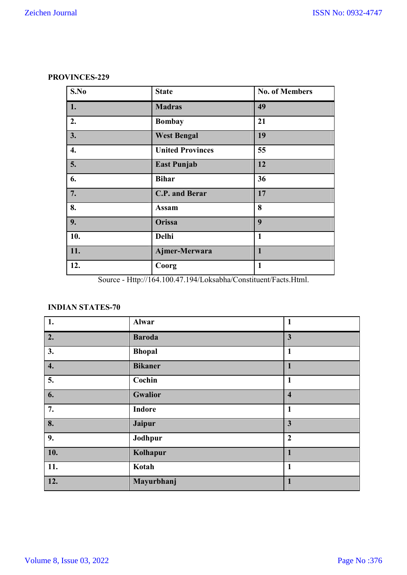# **PROVINCES-229**

| S.No | <b>State</b>            | <b>No. of Members</b> |
|------|-------------------------|-----------------------|
| 1.   | <b>Madras</b>           | 49                    |
| 2.   | <b>Bombay</b>           | 21                    |
| 3.   | <b>West Bengal</b>      | 19                    |
| 4.   | <b>United Provinces</b> | 55                    |
| 5.   | <b>East Punjab</b>      | 12                    |
| 6.   | <b>Bihar</b>            | 36                    |
| 7.   | C.P. and Berar          | 17                    |
| 8.   | <b>Assam</b>            | 8                     |
| 9.   | Orissa                  | 9                     |
| 10.  | Delhi                   | $\mathbf{1}$          |
| 11.  | Ajmer-Merwara           | $\mathbf{1}$          |
| 12.  | Coorg                   | $\mathbf{1}$          |

Source - Http://164.100.47.194/Loksabha/Constituent/Facts.Html.

# **INDIAN STATES-70**

| 1.                 | Alwar          | $\mathbf{1}$            |
|--------------------|----------------|-------------------------|
| 2.                 | <b>Baroda</b>  | $\mathbf{3}$            |
| 3.                 | <b>Bhopal</b>  | $\mathbf{1}$            |
| $\boldsymbol{4}$ . | <b>Bikaner</b> | $\mathbf{1}$            |
| 5.                 | Cochin         | $\mathbf{1}$            |
| 6.                 | <b>Gwalior</b> | $\overline{\mathbf{4}}$ |
| 7.                 | <b>Indore</b>  | $\mathbf{1}$            |
| 8.                 | Jaipur         | $\overline{\mathbf{3}}$ |
| 9.                 | Jodhpur        | $\boldsymbol{2}$        |
| 10.                | Kolhapur       | $\mathbf{1}$            |
| 11.                | Kotah          | $\mathbf{1}$            |
| 12.                | Mayurbhanj     | $\mathbf{1}$            |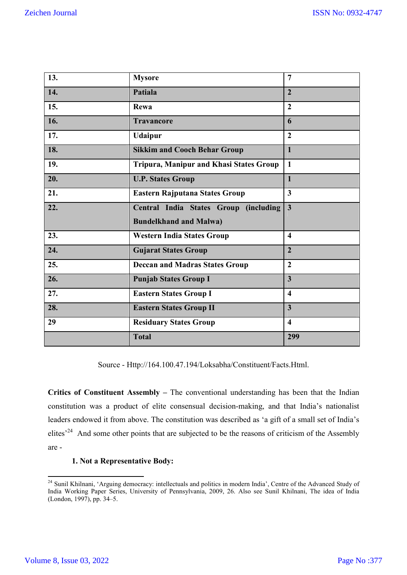| 13. | <b>Mysore</b>                           | 7                       |
|-----|-----------------------------------------|-------------------------|
| 14. | Patiala                                 | $\overline{2}$          |
| 15. | Rewa                                    | $\overline{2}$          |
| 16. | <b>Travancore</b>                       | 6                       |
| 17. | <b>Udaipur</b>                          | $\overline{2}$          |
| 18. | <b>Sikkim and Cooch Behar Group</b>     | $\mathbf{1}$            |
| 19. | Tripura, Manipur and Khasi States Group | $\mathbf{1}$            |
| 20. | <b>U.P. States Group</b>                | $\mathbf{1}$            |
| 21. | <b>Eastern Rajputana States Group</b>   | $\overline{\mathbf{3}}$ |
| 22. | Central India States Group (including   | $\overline{3}$          |
|     | <b>Bundelkhand and Malwa)</b>           |                         |
| 23. | <b>Western India States Group</b>       | $\overline{\mathbf{4}}$ |
| 24. | <b>Gujarat States Group</b>             | $\overline{2}$          |
| 25. | <b>Deccan and Madras States Group</b>   | $\overline{2}$          |
| 26. | <b>Punjab States Group I</b>            | $\overline{\mathbf{3}}$ |
| 27. | <b>Eastern States Group I</b>           | $\overline{\mathbf{4}}$ |
| 28. | <b>Eastern States Group II</b>          | $\overline{\mathbf{3}}$ |
| 29  | <b>Residuary States Group</b>           | $\overline{\mathbf{4}}$ |
|     | <b>Total</b>                            | 299                     |

Source - Http://164.100.47.194/Loksabha/Constituent/Facts.Html.

**Critics of Constituent Assembly –** The conventional understanding has been that the Indian constitution was a product of elite consensual decision-making, and that India's nationalist leaders endowed it from above. The constitution was described as 'a gift of a small set of India's elites<sup>'24</sup> And some other points that are subjected to be the reasons of criticism of the Assembly are -

# **1. Not a Representative Body:**

<sup>&</sup>lt;sup>24</sup> Sunil Khilnani, 'Arguing democracy: intellectuals and politics in modern India', Centre of the Advanced Study of India Working Paper Series, University of Pennsylvania, 2009, 26. Also see Sunil Khilnani, The idea of India (London, 1997), pp. 34–5.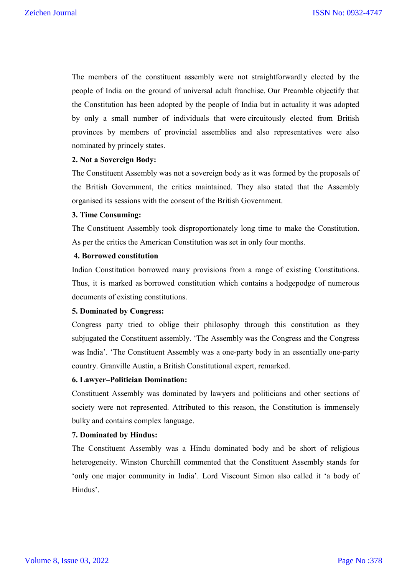The members of the constituent assembly were not straightforwardly elected by the people of India on the ground of universal adult franchise. Our Preamble objectify that the Constitution has been adopted by the people of India but in actuality it was adopted by only a small number of individuals that were circuitously elected from British provinces by members of provincial assemblies and also representatives were also nominated by princely states.

# **2. Not a Sovereign Body:**

The Constituent Assembly was not a sovereign body as it was formed by the proposals of the British Government, the critics maintained. They also stated that the Assembly organised its sessions with the consent of the British Government.

# **3. Time Consuming:**

The Constituent Assembly took disproportionately long time to make the Constitution. As per the critics the American Constitution was set in only four months.

# **4. Borrowed constitution**

Indian Constitution borrowed many provisions from a range of existing Constitutions. Thus, it is marked as borrowed constitution which contains a hodgepodge of numerous documents of existing constitutions.

# **5. Dominated by Congress:**

Congress party tried to oblige their philosophy through this constitution as they subjugated the Constituent assembly. 'The Assembly was the Congress and the Congress was India'. 'The Constituent Assembly was a one-party body in an essentially one-party country. Granville Austin, a British Constitutional expert, remarked.

# **6. Lawyer–Politician Domination:**

Constituent Assembly was dominated by lawyers and politicians and other sections of society were not represented. Attributed to this reason, the Constitution is immensely bulky and contains complex language.

# **7. Dominated by Hindus:**

The Constituent Assembly was a Hindu dominated body and be short of religious heterogeneity. Winston Churchill commented that the Constituent Assembly stands for 'only one major community in India'. Lord Viscount Simon also called it 'a body of Hindus'.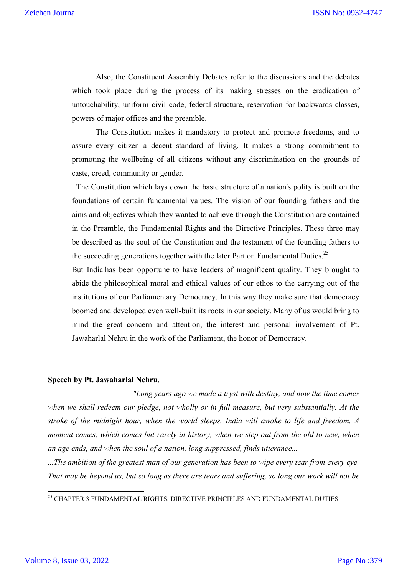Also, the Constituent Assembly Debates refer to the discussions and the debates which took place during the process of its making stresses on the eradication of untouchability, uniform civil code, federal structure, reservation for backwards classes, powers of major offices and the preamble.

The Constitution makes it mandatory to protect and promote freedoms, and to assure every citizen a decent standard of living. It makes a strong commitment to promoting the wellbeing of all citizens without any discrimination on the grounds of caste, creed, community or gender.

. The Constitution which lays down the basic structure of a nation's polity is built on the foundations of certain fundamental values. The vision of our founding fathers and the aims and objectives which they wanted to achieve through the Constitution are contained in the Preamble, the Fundamental Rights and the Directive Principles. These three may be described as the soul of the Constitution and the testament of the founding fathers to the succeeding generations together with the later Part on Fundamental Duties.<sup>25</sup>

But India has been opportune to have leaders of magnificent quality. They brought to abide the philosophical moral and ethical values of our ethos to the carrying out of the institutions of our Parliamentary Democracy. In this way they make sure that democracy boomed and developed even well-built its roots in our society. Many of us would bring to mind the great concern and attention, the interest and personal involvement of Pt. Jawaharlal Nehru in the work of the Parliament, the honor of Democracy.

#### **Speech by Pt. Jawaharlal Nehru**,

*"Long years ago we made a tryst with destiny, and now the time comes when we shall redeem our pledge, not wholly or in full measure, but very substantially. At the stroke of the midnight hour, when the world sleeps, India will awake to life and freedom. A moment comes, which comes but rarely in history, when we step out from the old to new, when an age ends, and when the soul of a nation, long suppressed, finds utterance...*

*...The ambition of the greatest man of our generation has been to wipe every tear from every eye. That may be beyond us, but so long as there are tears and suffering, so long our work will not be* 

 $^{25}$  CHAPTER 3 FUNDAMENTAL RIGHTS, DIRECTIVE PRINCIPLES AND FUNDAMENTAL DUTIES.